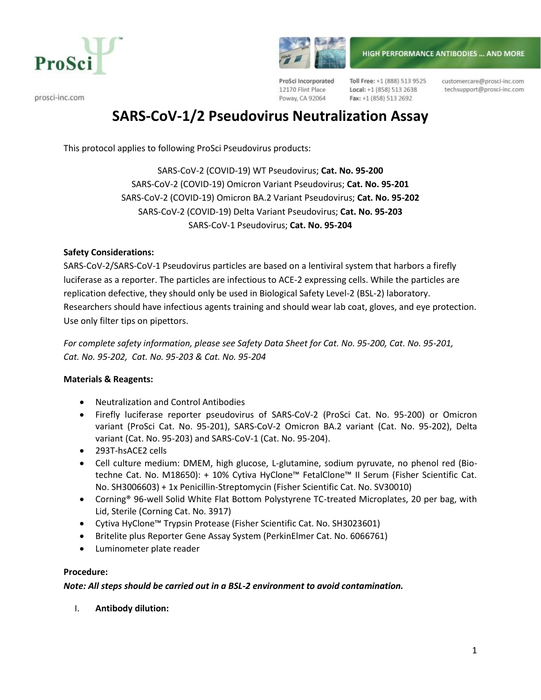



prosci-inc.com

ProSci Incorporated 12170 Flint Place Poway, CA 92064

Toll Free: +1 (888) 513 9525 Local: +1 (858) 513 2638 Fax: +1 (858) 513 2692

customercare@prosci-inc.com techsupport@prosci-inc.com

# **SARS-CoV-1/2 Pseudovirus Neutralization Assay**

This protocol applies to following ProSci Pseudovirus products:

SARS-CoV-2 (COVID-19) WT Pseudovirus; **Cat. No. 95-200** SARS-CoV-2 (COVID-19) Omicron Variant Pseudovirus; **Cat. No. 95-201** SARS-CoV-2 (COVID-19) Omicron BA.2 Variant Pseudovirus; **Cat. No. 95-202** SARS-CoV-2 (COVID-19) Delta Variant Pseudovirus; **Cat. No. 95-203** SARS-CoV-1 Pseudovirus; **Cat. No. 95-204**

#### **Safety Considerations:**

SARS-CoV-2/SARS-CoV-1 Pseudovirus particles are based on a lentiviral system that harbors a firefly luciferase as a reporter. The particles are infectious to ACE-2 expressing cells. While the particles are replication defective, they should only be used in Biological Safety Level-2 (BSL-2) laboratory. Researchers should have infectious agents training and should wear lab coat, gloves, and eye protection. Use only filter tips on pipettors.

*For complete safety information, please see Safety Data Sheet for Cat. No. 95-200, Cat. No. 95-201, Cat. No. 95-202, Cat. No. 95-203 & Cat. No. 95-204*

## **Materials & Reagents:**

- Neutralization and Control Antibodies
- Firefly luciferase reporter pseudovirus of SARS-CoV-2 (ProSci Cat. No. 95-200) or Omicron variant (ProSci Cat. No. 95-201), SARS-CoV-2 Omicron BA.2 variant (Cat. No. 95-202), Delta variant (Cat. No. 95-203) and SARS-CoV-1 (Cat. No. 95-204).
- 293T-hsACE2 cells
- Cell culture medium: DMEM, high glucose, L-glutamine, sodium pyruvate, no phenol red (Biotechne Cat. No. M18650): + 10% Cytiva HyClone™ FetalClone™ II Serum (Fisher Scientific Cat. No. SH3006603) + 1x Penicillin-Streptomycin (Fisher Scientific Cat. No. SV30010)
- Corning<sup>®</sup> 96-well Solid White Flat Bottom Polystyrene TC-treated Microplates, 20 per bag, with Lid, Sterile (Corning Cat. No. 3917)
- Cytiva HyClone™ Trypsin Protease (Fisher Scientific Cat. No. SH3023601)
- Britelite plus Reporter Gene Assay System (PerkinElmer Cat. No. 6066761)
- Luminometer plate reader

#### **Procedure:**

#### *Note: All steps should be carried out in a BSL-2 environment to avoid contamination.*

I. **Antibody dilution:**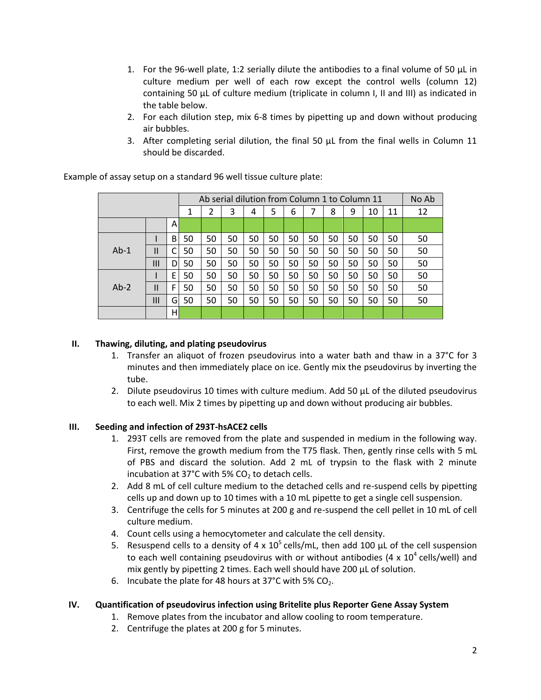- 1. For the 96-well plate, 1:2 serially dilute the antibodies to a final volume of 50  $\mu$ L in culture medium per well of each row except the control wells (column 12) containing 50 µL of culture medium (triplicate in column I, II and III) as indicated in the table below.
- 2. For each dilution step, mix 6-8 times by pipetting up and down without producing air bubbles.
- 3. After completing serial dilution, the final 50  $\mu$ L from the final wells in Column 11 should be discarded.

|        |               |   | Ab serial dilution from Column 1 to Column 11 |    |    |    |    |    |    |    |    |    |    | No Ab |
|--------|---------------|---|-----------------------------------------------|----|----|----|----|----|----|----|----|----|----|-------|
|        |               |   | 1                                             | 2  | 3  | 4  | 5  | 6  |    | 8  | 9  | 10 | 11 | 12    |
|        |               | A |                                               |    |    |    |    |    |    |    |    |    |    |       |
| $Ab-1$ |               | B | 50                                            | 50 | 50 | 50 | 50 | 50 | 50 | 50 | 50 | 50 | 50 | 50    |
|        | $\mathsf{II}$ | C | 50                                            | 50 | 50 | 50 | 50 | 50 | 50 | 50 | 50 | 50 | 50 | 50    |
|        | Ш             | D | 50                                            | 50 | 50 | 50 | 50 | 50 | 50 | 50 | 50 | 50 | 50 | 50    |
| $Ab-2$ |               | E | 50                                            | 50 | 50 | 50 | 50 | 50 | 50 | 50 | 50 | 50 | 50 | 50    |
|        | $\mathsf{II}$ | F | 50                                            | 50 | 50 | 50 | 50 | 50 | 50 | 50 | 50 | 50 | 50 | 50    |
|        | Ш             | G | 50                                            | 50 | 50 | 50 | 50 | 50 | 50 | 50 | 50 | 50 | 50 | 50    |
|        |               | н |                                               |    |    |    |    |    |    |    |    |    |    |       |

Example of assay setup on a standard 96 well tissue culture plate:

## **II. Thawing, diluting, and plating pseudovirus**

- 1. Transfer an aliquot of frozen pseudovirus into a water bath and thaw in a  $37^{\circ}$ C for 3 minutes and then immediately place on ice. Gently mix the pseudovirus by inverting the tube.
- 2. Dilute pseudovirus 10 times with culture medium. Add 50 µL of the diluted pseudovirus to each well. Mix 2 times by pipetting up and down without producing air bubbles.

## **III. Seeding and infection of 293T-hsACE2 cells**

- 1. 293T cells are removed from the plate and suspended in medium in the following way. First, remove the growth medium from the T75 flask. Then, gently rinse cells with 5 mL of PBS and discard the solution. Add 2 mL of trypsin to the flask with 2 minute incubation at 37°C with 5%  $CO<sub>2</sub>$  to detach cells.
- 2. Add 8 mL of cell culture medium to the detached cells and re-suspend cells by pipetting cells up and down up to 10 times with a 10 mL pipette to get a single cell suspension.
- 3. Centrifuge the cells for 5 minutes at 200 g and re-suspend the cell pellet in 10 mL of cell culture medium.
- 4. Count cells using a hemocytometer and calculate the cell density.
- 5. Resuspend cells to a density of  $4 \times 10^5$  cells/mL, then add 100 µL of the cell suspension to each well containing pseudovirus with or without antibodies  $(4 \times 10^4 \text{ cells/well})$  and mix gently by pipetting 2 times. Each well should have 200 µL of solution.
- 6. Incubate the plate for 48 hours at 37°C with 5%  $CO<sub>2</sub>$ .

## **IV. Quantification of pseudovirus infection using Britelite plus Reporter Gene Assay System**

- 1. Remove plates from the incubator and allow cooling to room temperature.
- 2. Centrifuge the plates at 200 g for 5 minutes.